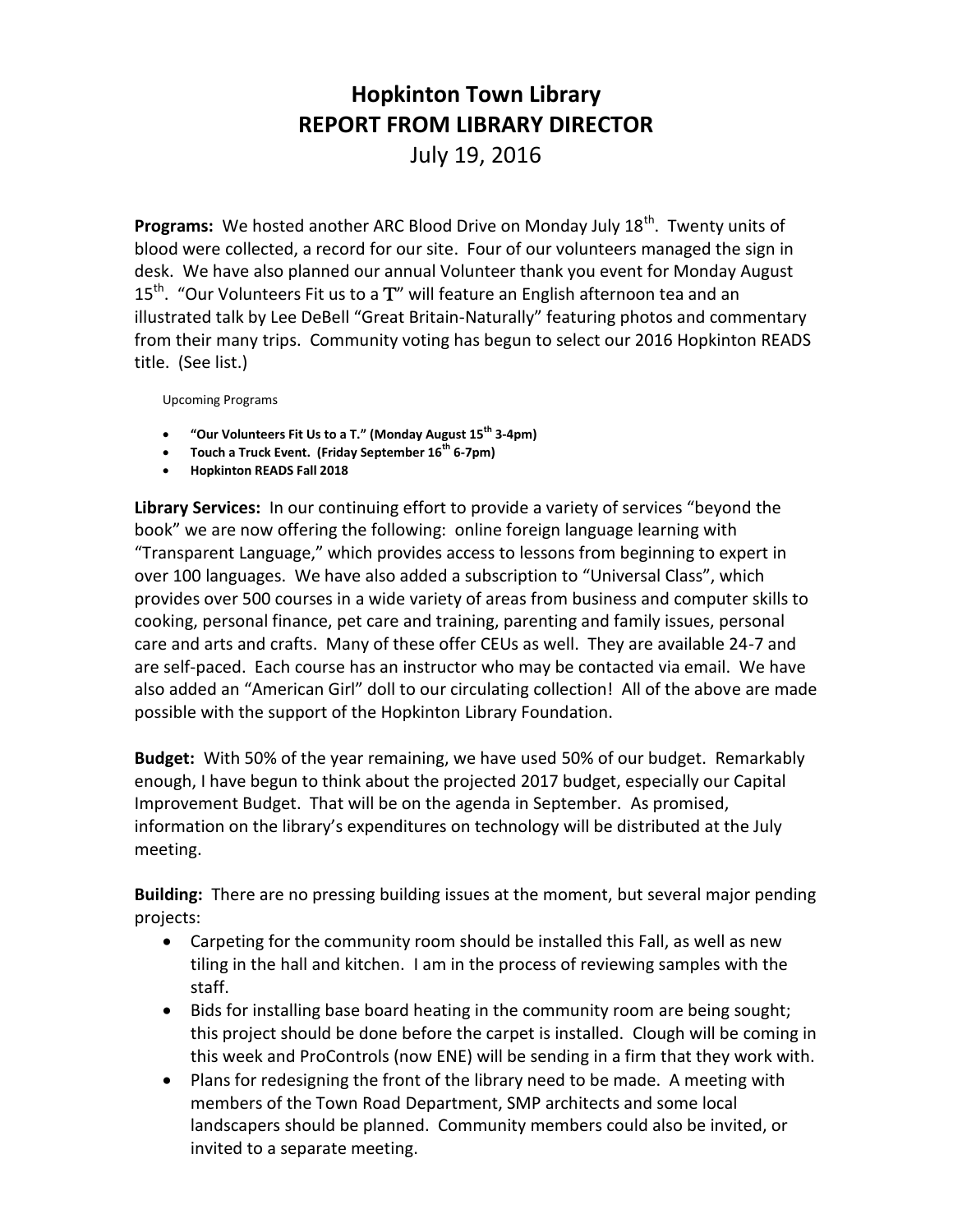## **Hopkinton Town Library REPORT FROM LIBRARY DIRECTOR**

July 19, 2016

Programs: We hosted another ARC Blood Drive on Monday July 18<sup>th</sup>. Twenty units of blood were collected, a record for our site. Four of our volunteers managed the sign in desk. We have also planned our annual Volunteer thank you event for Monday August 15<sup>th</sup>. "Our Volunteers Fit us to a  $T$ " will feature an English afternoon tea and an illustrated talk by Lee DeBell "Great Britain-Naturally" featuring photos and commentary from their many trips. Community voting has begun to select our 2016 Hopkinton READS title. (See list.)

Upcoming Programs

- **"Our Volunteers Fit Us to a T." (Monday August 15th 3-4pm)**
- **Touch a Truck Event. (Friday September 16th 6-7pm)**
- **Hopkinton READS Fall 2018**

**Library Services:** In our continuing effort to provide a variety of services "beyond the book" we are now offering the following: online foreign language learning with "Transparent Language," which provides access to lessons from beginning to expert in over 100 languages. We have also added a subscription to "Universal Class", which provides over 500 courses in a wide variety of areas from business and computer skills to cooking, personal finance, pet care and training, parenting and family issues, personal care and arts and crafts. Many of these offer CEUs as well. They are available 24-7 and are self-paced. Each course has an instructor who may be contacted via email. We have also added an "American Girl" doll to our circulating collection! All of the above are made possible with the support of the Hopkinton Library Foundation.

**Budget:** With 50% of the year remaining, we have used 50% of our budget. Remarkably enough, I have begun to think about the projected 2017 budget, especially our Capital Improvement Budget. That will be on the agenda in September. As promised, information on the library's expenditures on technology will be distributed at the July meeting.

**Building:** There are no pressing building issues at the moment, but several major pending projects:

- Carpeting for the community room should be installed this Fall, as well as new tiling in the hall and kitchen. I am in the process of reviewing samples with the staff.
- Bids for installing base board heating in the community room are being sought; this project should be done before the carpet is installed. Clough will be coming in this week and ProControls (now ENE) will be sending in a firm that they work with.
- Plans for redesigning the front of the library need to be made. A meeting with members of the Town Road Department, SMP architects and some local landscapers should be planned. Community members could also be invited, or invited to a separate meeting.